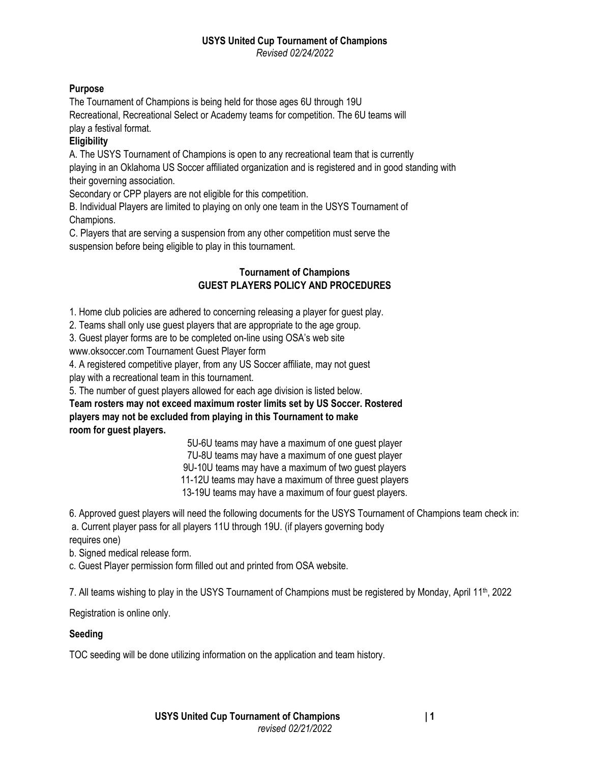*Revised 02/24/2022*

# **Purpose**

The Tournament of Champions is being held for those ages 6U through 19U Recreational, Recreational Select or Academy teams for competition. The 6U teams will play a festival format.

# **Eligibility**

A. The USYS Tournament of Champions is open to any recreational team that is currently playing in an Oklahoma US Soccer affiliated organization and is registered and in good standing with their governing association.

Secondary or CPP players are not eligible for this competition.

B. Individual Players are limited to playing on only one team in the USYS Tournament of Champions.

C. Players that are serving a suspension from any other competition must serve the suspension before being eligible to play in this tournament.

## **Tournament of Champions GUEST PLAYERS POLICY AND PROCEDURES**

1. Home club policies are adhered to concerning releasing a player for guest play.

2. Teams shall only use guest players that are appropriate to the age group.

3. Guest player forms are to be completed on-line using OSA's web site

www.oksoccer.com Tournament Guest Player form

4. A registered competitive player, from any US Soccer affiliate, may not guest

play with a recreational team in this tournament.

5. The number of guest players allowed for each age division is listed below.

**Team rosters may not exceed maximum roster limits set by US Soccer. Rostered players may not be excluded from playing in this Tournament to make room for guest players.**

5U-6U teams may have a maximum of one guest player

7U-8U teams may have a maximum of one guest player

9U-10U teams may have a maximum of two guest players

11-12U teams may have a maximum of three guest players

13-19U teams may have a maximum of four guest players.

6. Approved guest players will need the following documents for the USYS Tournament of Champions team check in: a. Current player pass for all players 11U through 19U. (if players governing body

requires one)

b. Signed medical release form.

c. Guest Player permission form filled out and printed from OSA website.

7. All teams wishing to play in the USYS Tournament of Champions must be registered by Monday, April 11<sup>th</sup>, 2022

Registration is online only.

## **Seeding**

TOC seeding will be done utilizing information on the application and team history.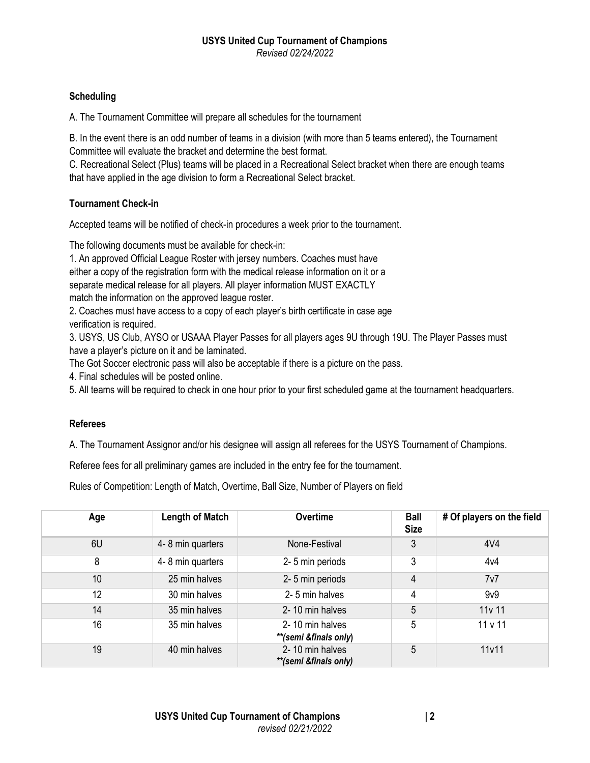#### **USYS United Cup Tournament of Champions** *Revised 02/24/2022*

#### **Scheduling**

A. The Tournament Committee will prepare all schedules for the tournament

B. In the event there is an odd number of teams in a division (with more than 5 teams entered), the Tournament Committee will evaluate the bracket and determine the best format.

C. Recreational Select (Plus) teams will be placed in a Recreational Select bracket when there are enough teams that have applied in the age division to form a Recreational Select bracket.

#### **Tournament Check-in**

Accepted teams will be notified of check-in procedures a week prior to the tournament.

The following documents must be available for check-in:

1. An approved Official League Roster with jersey numbers. Coaches must have either a copy of the registration form with the medical release information on it or a separate medical release for all players. All player information MUST EXACTLY match the information on the approved league roster.

2. Coaches must have access to a copy of each player's birth certificate in case age verification is required.

3. USYS, US Club, AYSO or USAAA Player Passes for all players ages 9U through 19U. The Player Passes must have a player's picture on it and be laminated.

The Got Soccer electronic pass will also be acceptable if there is a picture on the pass.

4. Final schedules will be posted online.

5. All teams will be required to check in one hour prior to your first scheduled game at the tournament headquarters.

## **Referees**

A. The Tournament Assignor and/or his designee will assign all referees for the USYS Tournament of Champions.

Referee fees for all preliminary games are included in the entry fee for the tournament.

Rules of Competition: Length of Match, Overtime, Ball Size, Number of Players on field

| Age | <b>Length of Match</b> | <b>Overtime</b>                          | <b>Ball</b><br><b>Size</b> | # Of players on the field |
|-----|------------------------|------------------------------------------|----------------------------|---------------------------|
| 6U  | 4-8 min quarters       | None-Festival                            | 3                          | 4V <sub>4</sub>           |
| 8   | 4-8 min quarters       | 2-5 min periods                          | 3                          | 4v4                       |
| 10  | 25 min halves          | 2-5 min periods                          | 4                          | 7v7                       |
| 12  | 30 min halves          | 2-5 min halves                           | 4                          | 9 <sub>V</sub> 9          |
| 14  | 35 min halves          | 2-10 min halves                          | 5                          | 11v 11                    |
| 16  | 35 min halves          | 2-10 min halves<br>**(semi &finals only) | 5                          | 11 v 11                   |
| 19  | 40 min halves          | 2-10 min halves<br>**(semi &finals only) | 5                          | 11v11                     |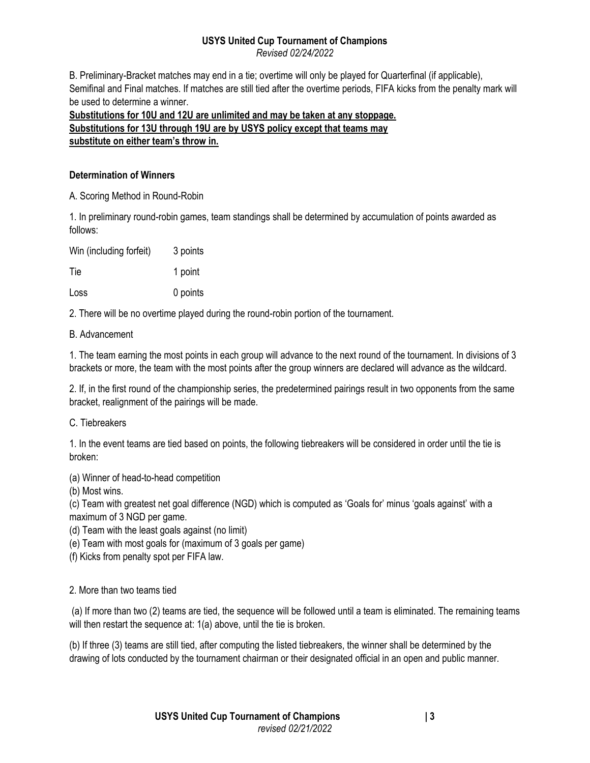*Revised 02/24/2022*

B. Preliminary-Bracket matches may end in a tie; overtime will only be played for Quarterfinal (if applicable), Semifinal and Final matches. If matches are still tied after the overtime periods, FIFA kicks from the penalty mark will be used to determine a winner.

**Substitutions for 10U and 12U are unlimited and may be taken at any stoppage. Substitutions for 13U through 19U are by USYS policy except that teams may substitute on either team's throw in.**

## **Determination of Winners**

A. Scoring Method in Round-Robin

1. In preliminary round-robin games, team standings shall be determined by accumulation of points awarded as follows:

| Win (including forfeit) | 3 points |
|-------------------------|----------|
| Tie                     | 1 point  |
| Loss                    | 0 points |

2. There will be no overtime played during the round-robin portion of the tournament.

B. Advancement

1. The team earning the most points in each group will advance to the next round of the tournament. In divisions of 3 brackets or more, the team with the most points after the group winners are declared will advance as the wildcard.

2. If, in the first round of the championship series, the predetermined pairings result in two opponents from the same bracket, realignment of the pairings will be made.

C. Tiebreakers

1. In the event teams are tied based on points, the following tiebreakers will be considered in order until the tie is broken:

(a) Winner of head-to-head competition

(b) Most wins.

(c) Team with greatest net goal difference (NGD) which is computed as 'Goals for' minus 'goals against' with a maximum of 3 NGD per game.

(d) Team with the least goals against (no limit)

(e) Team with most goals for (maximum of 3 goals per game)

(f) Kicks from penalty spot per FIFA law.

# 2. More than two teams tied

(a) If more than two (2) teams are tied, the sequence will be followed until a team is eliminated. The remaining teams will then restart the sequence at: 1(a) above, until the tie is broken.

(b) If three (3) teams are still tied, after computing the listed tiebreakers, the winner shall be determined by the drawing of lots conducted by the tournament chairman or their designated official in an open and public manner.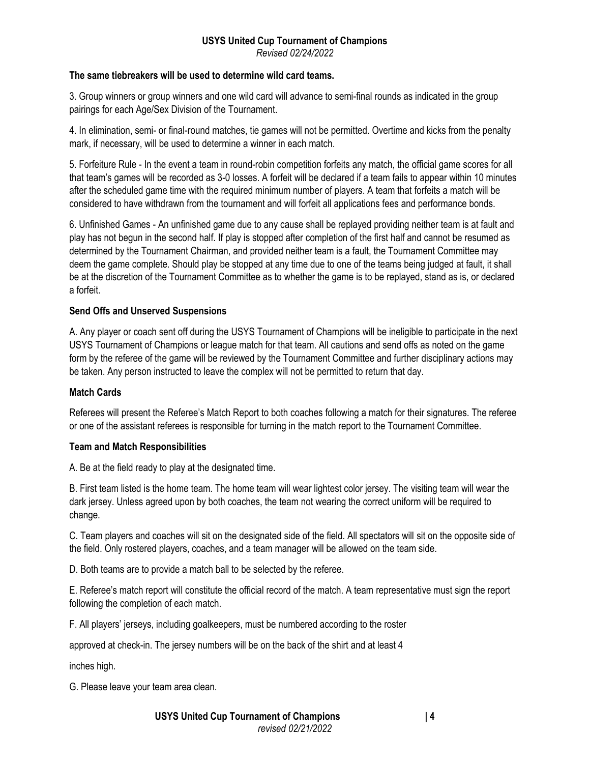*Revised 02/24/2022*

# **The same tiebreakers will be used to determine wild card teams.**

3. Group winners or group winners and one wild card will advance to semi-final rounds as indicated in the group pairings for each Age/Sex Division of the Tournament.

4. In elimination, semi- or final-round matches, tie games will not be permitted. Overtime and kicks from the penalty mark, if necessary, will be used to determine a winner in each match.

5. Forfeiture Rule - In the event a team in round-robin competition forfeits any match, the official game scores for all that team's games will be recorded as 3-0 losses. A forfeit will be declared if a team fails to appear within 10 minutes after the scheduled game time with the required minimum number of players. A team that forfeits a match will be considered to have withdrawn from the tournament and will forfeit all applications fees and performance bonds.

6. Unfinished Games - An unfinished game due to any cause shall be replayed providing neither team is at fault and play has not begun in the second half. If play is stopped after completion of the first half and cannot be resumed as determined by the Tournament Chairman, and provided neither team is a fault, the Tournament Committee may deem the game complete. Should play be stopped at any time due to one of the teams being judged at fault, it shall be at the discretion of the Tournament Committee as to whether the game is to be replayed, stand as is, or declared a forfeit.

## **Send Offs and Unserved Suspensions**

A. Any player or coach sent off during the USYS Tournament of Champions will be ineligible to participate in the next USYS Tournament of Champions or league match for that team. All cautions and send offs as noted on the game form by the referee of the game will be reviewed by the Tournament Committee and further disciplinary actions may be taken. Any person instructed to leave the complex will not be permitted to return that day.

## **Match Cards**

Referees will present the Referee's Match Report to both coaches following a match for their signatures. The referee or one of the assistant referees is responsible for turning in the match report to the Tournament Committee.

#### **Team and Match Responsibilities**

A. Be at the field ready to play at the designated time.

B. First team listed is the home team. The home team will wear lightest color jersey. The visiting team will wear the dark jersey. Unless agreed upon by both coaches, the team not wearing the correct uniform will be required to change.

C. Team players and coaches will sit on the designated side of the field. All spectators will sit on the opposite side of the field. Only rostered players, coaches, and a team manager will be allowed on the team side.

D. Both teams are to provide a match ball to be selected by the referee.

E. Referee's match report will constitute the official record of the match. A team representative must sign the report following the completion of each match.

F. All players' jerseys, including goalkeepers, must be numbered according to the roster

approved at check-in. The jersey numbers will be on the back of the shirt and at least 4

inches high.

G. Please leave your team area clean.